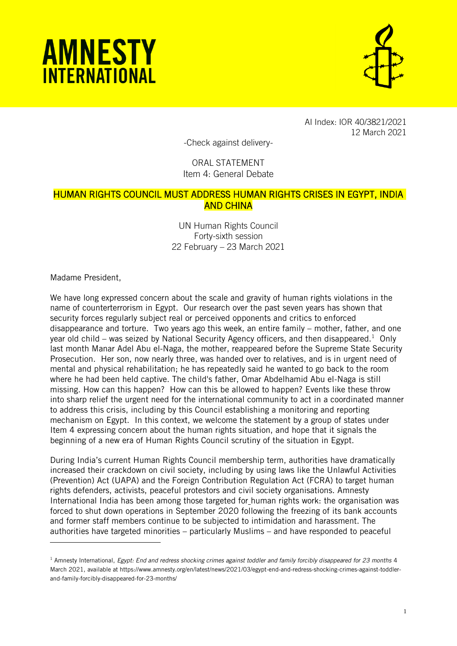



AI Index: IOR 40/3821/2021 12 March 2021

-Check against delivery-

## ORAL STATEMENT Item 4: General Debate

## HUMAN RIGHTS COUNCIL MUST ADDRESS HUMAN RIGHTS CRISES IN EGYPT, INDIA AND CHINA

UN Human Rights Council Forty-sixth session 22 February – 23 March 2021

Madame President,

j

We have long expressed concern about the scale and gravity of human rights violations in the name of counterterrorism in Egypt. Our research over the past seven years has shown that security forces regularly subject real or perceived opponents and critics to enforced disappearance and torture. Two years ago this week, an entire family – mother, father, and one year old child – was seized by National Security Agency officers, and then disappeared. $^1\,$  Only last month Manar Adel Abu el-Naga, the mother, reappeared before the Supreme State Security Prosecution. Her son, now nearly three, was handed over to relatives, and is in urgent need of mental and physical rehabilitation; he has repeatedly said he wanted to go back to the room where he had been held captive. The child's father, Omar Abdelhamid Abu el-Naga is still missing. How can this happen? How can this be allowed to happen? Events like these throw into sharp relief the urgent need for the international community to act in a coordinated manner to address this crisis, including by this Council establishing a monitoring and reporting mechanism on Egypt. In this context, we welcome the statement by a group of states under Item 4 expressing concern about the human rights situation, and hope that it signals the beginning of a new era of Human Rights Council scrutiny of the situation in Egypt.

During India's current Human Rights Council membership term, authorities have dramatically increased their crackdown on civil society, including by using laws like the Unlawful Activities (Prevention) Act (UAPA) and the Foreign Contribution Regulation Act (FCRA) to target human rights defenders, activists, peaceful protestors and civil society organisations. Amnesty International India has been among those targeted for human rights work: the organisation was forced to shut down operations in September 2020 following the freezing of its bank accounts and former staff members continue to be subjected to intimidation and harassment. The authorities have targeted minorities – particularly Muslims – and have responded to peaceful

<sup>1</sup> Amnesty International, *Egypt: End and redress shocking crimes against toddler and family forcibly disappeared for 23 months* 4 March 2021, available at https://www.amnesty.org/en/latest/news/2021/03/egypt-end-and-redress-shocking-crimes-against-toddlerand-family-forcibly-disappeared-for-23-months/